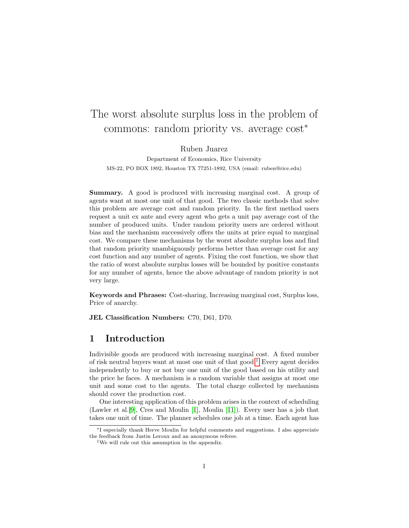# The worst absolute surplus loss in the problem of commons: random priority vs. average cost<sup>∗</sup>

# Ruben Juarez

Department of Economics, Rice University MS-22, PO BOX 1892, Houston TX 77251-1892, USA (email: ruben@rice.edu)

Summary. A good is produced with increasing marginal cost. A group of agents want at most one unit of that good. The two classic methods that solve this problem are average cost and random priority. In the first method users request a unit ex ante and every agent who gets a unit pay average cost of the number of produced units. Under random priority users are ordered without bias and the mechanism successively offers the units at price equal to marginal cost. We compare these mechanisms by the worst absolute surplus loss and find that random priority unambiguously performs better than average cost for any cost function and any number of agents. Fixing the cost function, we show that the ratio of worst absolute surplus losses will be bounded by positive constants for any number of agents, hence the above advantage of random priority is not very large.

Keywords and Phrases: Cost-sharing, Increasing marginal cost, Surplus loss, Price of anarchy.

JEL Classification Numbers: C70, D61, D70.

# 1 Introduction

Indivisible goods are produced with increasing marginal cost. A fixed number of risk neutral buyers want at most one unit of that good.<sup>[1](#page-0-0)</sup> Every agent decides independently to buy or not buy one unit of the good based on his utility and the price he faces. A mechanism is a random variable that assigns at most one unit and some cost to the agents. The total charge collected by mechanism should cover the production cost.

One interesting application of this problem arises in the context of scheduling (Lawler et al.[\[9\]](#page-21-0), Cres and Moulin [\[1\]](#page-20-0), Moulin [\[11\]](#page-21-1)). Every user has a job that takes one unit of time. The planner schedules one job at a time. Each agent has

<sup>∗</sup>I especially thank Herve Moulin for helpful comments and suggestions. I also appreciate the feedback from Justin Leroux and an anonymous referee.

<span id="page-0-0"></span> $^{\rm 1}{\rm We}$  will rule out this assumption in the appendix.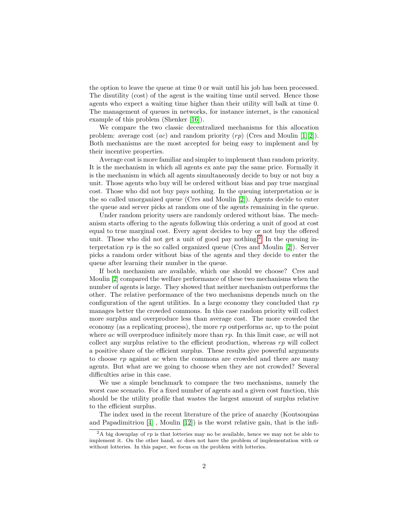the option to leave the queue at time 0 or wait until his job has been processed. The disutility (cost) of the agent is the waiting time until served. Hence those agents who expect a waiting time higher than their utility will balk at time 0. The management of queues in networks, for instance internet, is the canonical example of this problem (Shenker [\[16\]](#page-21-2)).

We compare the two classic decentralized mechanisms for this allocation problem: average cost  $(ac)$  and random priority  $(rp)$  (Cres and Moulin [\[1\]](#page-20-0)[\[2\]](#page-20-1)). Both mechanisms are the most accepted for being easy to implement and by their incentive properties.

Average cost is more familiar and simpler to implement than random priority. It is the mechanism in which all agents ex ante pay the same price. Formally it is the mechanism in which all agents simultaneously decide to buy or not buy a unit. Those agents who buy will be ordered without bias and pay true marginal cost. Those who did not buy pays nothing. In the queuing interpretation  $ac$  is the so called unorganized queue (Cres and Moulin [\[2\]](#page-20-1)). Agents decide to enter the queue and server picks at random one of the agents remaining in the queue.

Under random priority users are randomly ordered without bias. The mechanism starts offering to the agents following this ordering a unit of good at cost equal to true marginal cost. Every agent decides to buy or not buy the offered unit. Those who did not get a unit of good pay nothing.<sup>[2](#page-1-0)</sup> In the queuing interpretation  $rp$  is the so called organized queue (Cres and Moulin [\[2\]](#page-20-1)). Server picks a random order without bias of the agents and they decide to enter the queue after learning their number in the queue.

If both mechanism are available, which one should we choose? Cres and Moulin [\[2\]](#page-20-1) compared the welfare performance of these two mechanisms when the number of agents is large. They showed that neither mechanism outperforms the other. The relative performance of the two mechanisms depends much on the configuration of the agent utilities. In a large economy they concluded that  $rp$ manages better the crowded commons. In this case random priority will collect more surplus and overproduce less than average cost. The more crowded the economy (as a replicating process), the more  $rp$  outperforms  $ac$ , up to the point where  $ac$  will overproduce infinitely more than  $rp$ . In this limit case,  $ac$  will not collect any surplus relative to the efficient production, whereas  $rp$  will collect a positive share of the efficient surplus. These results give powerful arguments to choose rp against ac when the commons are crowded and there are many agents. But what are we going to choose when they are not crowded? Several difficulties arise in this case.

We use a simple benchmark to compare the two mechanisms, namely the worst case scenario. For a fixed number of agents and a given cost function, this should be the utility profile that wastes the largest amount of surplus relative to the efficient surplus.

The index used in the recent literature of the price of anarchy (Koutsoupias and Papadimitriou  $[4]$ , Moulin  $[12]$ ) is the worst relative gain, that is the infi-

<span id="page-1-0"></span><sup>&</sup>lt;sup>2</sup>A big downplay of rp is that lotteries may no be available, hence we may not be able to implement it. On the other hand, ac does not have the problem of implementation with or without lotteries. In this paper, we focus on the problem with lotteries.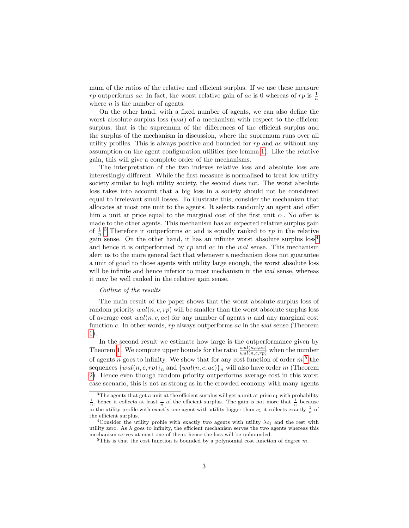mum of the ratios of the relative and efficient surplus. If we use these measure *rp* outperforms *ac*. In fact, the worst relative gain of *ac* is 0 whereas of *rp* is  $\frac{1}{n}$ where  $n$  is the number of agents.

On the other hand, with a fixed number of agents, we can also define the worst absolute surplus loss  $(wal)$  of a mechanism with respect to the efficient surplus, that is the supremum of the differences of the efficient surplus and the surplus of the mechanism in discussion, where the supremum runs over all utility profiles. This is always positive and bounded for  $rp$  and  $ac$  without any assumption on the agent configuration utilities (see lemma [1\)](#page-5-0). Like the relative gain, this will give a complete order of the mechanisms.

The interpretation of the two indexes relative loss and absolute loss are interestingly different. While the first measure is normalized to treat low utility society similar to high utility society, the second does not. The worst absolute loss takes into account that a big loss in a society should not be considered equal to irrelevant small losses. To illustrate this, consider the mechanism that allocates at most one unit to the agents. It selects randomly an agent and offer him a unit at price equal to the marginal cost of the first unit  $c_1$ . No offer is made to the other agents. This mechanism has an expected relative surplus gain of  $\frac{1}{n}$ .<sup>[3](#page-2-0)</sup> Therefore it outperforms ac and is equally ranked to rp in the relative gain sense. On the other hand, it has an infinite worst absolute surplus  $loss<sup>4</sup>$  $loss<sup>4</sup>$  $loss<sup>4</sup>$ and hence it is outperformed by  $rp$  and  $ac$  in the wal sense. This mechanism alert us to the more general fact that whenever a mechanism does not guarantee a unit of good to those agents with utility large enough, the worst absolute loss will be infinite and hence inferior to most mechanism in the wal sense, whereas it may be well ranked in the relative gain sense.

#### Outline of the results

The main result of the paper shows that the worst absolute surplus loss of random priority  $wall(n, c, rp)$  will be smaller than the worst absolute surplus loss of average cost  $wall(n, c, ac)$  for any number of agents n and any marginal cost function c. In other words,  $rp$  always outperforms ac in the wal sense (Theorem [1\)](#page-7-0).

In the second result we estimate how large is the outperformance given by Theorem [1.](#page-7-0) We compute upper bounds for the ratio  $\frac{wal(n,c,ac)}{wal(n,c,rp)}$  when the number of agents n goes to infinity. We show that for any cost function of order  $m<sup>5</sup>$  $m<sup>5</sup>$  $m<sup>5</sup>$ , the sequences  $\{wal(n, c, rp)\}_n$  and  $\{wal(n, c, ac)\}_n$  will also have order m (Theorem [2\)](#page-8-0). Hence even though random priority outperforms average cost in this worst case scenario, this is not as strong as in the crowded economy with many agents

<span id="page-2-0"></span><sup>&</sup>lt;sup>3</sup>The agents that get a unit at the efficient surplus will get a unit at price  $c_1$  with probability  $\frac{1}{n}$ , hence it collects at least  $\frac{1}{n}$  of the efficient surplus. The gain is not more that  $\frac{1}{n}$  because in the utility profile with exactly one agent with utility bigger than  $c_1$  it collects exactly  $\frac{1}{n}$  of the efficient surplus.

<span id="page-2-1"></span><sup>&</sup>lt;sup>4</sup>Consider the utility profile with exactly two agents with utility  $\lambda c_1$  and the rest with utility zero. As  $\lambda$  goes to infinity, the efficient mechanism serves the two agents whereas this mechanism serves at most one of them, hence the loss will be unbounded.

<span id="page-2-2"></span><sup>&</sup>lt;sup>5</sup>This is that the cost function is bounded by a polynomial cost function of degree m.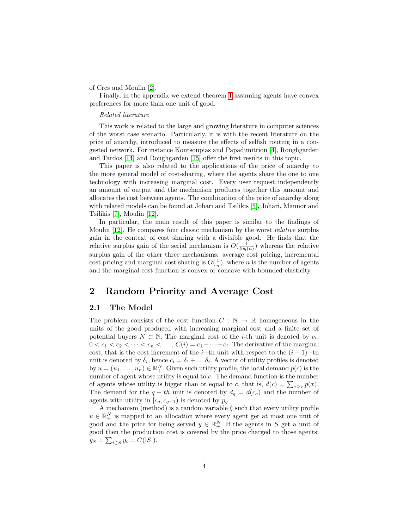#### of Cres and Moulin [\[2\]](#page-20-1).

Finally, in the appendix we extend theorem [1](#page-7-0) assuming agents have convex preferences for more than one unit of good.

### Related literature

This work is related to the large and growing literature in computer sciences of the worst case scenario. Particularly, it is with the recent literature on the price of anarchy, introduced to measure the effects of selfish routing in a congested network. For instance Koutsoupias and Papadimitriou [\[4\]](#page-21-3), Roughgarden and Tardos [\[14\]](#page-21-5) and Roughgarden [\[15\]](#page-21-6) offer the first results in this topic.

This paper is also related to the applications of the price of anarchy to the more general model of cost-sharing, where the agents share the one to one technology with increasing marginal cost. Every user request independently an amount of output and the mechanism produces together this amount and allocates the cost between agents. The combination of the price of anarchy along with related models can be found at Johari and Tsilikis [\[5\]](#page-21-7), Johari, Mannor and Tsilikis [\[7\]](#page-21-8), Moulin [\[12\]](#page-21-4).

In particular, the main result of this paper is similar to the findings of Moulin [\[12\]](#page-21-4). He compares four classic mechanism by the worst relative surplus gain in the context of cost sharing with a divisible good. He finds that the relative surplus gain of the serial mechanism is  $O(\frac{1}{log(n)})$  whereas the relative surplus gain of the other three mechanisms: average cost pricing, incremental cost pricing and marginal cost sharing is  $O(\frac{1}{n})$ , where *n* is the number of agents and the marginal cost function is convex or concave with bounded elasticity.

# 2 Random Priority and Average Cost

### 2.1 The Model

The problem consists of the cost function  $C : \mathbb{N} \to \mathbb{R}$  homogeneous in the units of the good produced with increasing marginal cost and a finite set of potential buyers  $N \subset \mathbb{N}$ . The marginal cost of the *i*-th unit is denoted by  $c_i$ ,  $0 < c_1 < c_2 < \cdots < c_n < \ldots$ ,  $C(i) = c_1 + \cdots + c_i$ . The derivative of the marginal cost, that is the cost increment of the i–th unit with respect to the  $(i-1)$ –th unit is denoted by  $\delta_i$ , hence  $c_i = \delta_1 + \dots + \delta_i$ . A vector of utility profiles is denoted by  $u = (u_1, \ldots, u_n) \in \mathbb{R}^N_+$ . Given such utility profile, the local demand  $p(c)$  is the number of agent whose utility is equal to c. The demand function is the number of agents whose utility is bigger than or equal to c, that is,  $d(c) = \sum_{x \geq c} p(x)$ . The demand for the  $q - th$  unit is denoted by  $d_q = d(c_q)$  and the number of agents with utility in  $[c_q, c_{q+1})$  is denoted by  $p_q$ .

A mechanism (method) is a random variable  $\xi$  such that every utility profile  $u \in \mathbb{R}_+^N$  is mapped to an allocation where every agent get at most one unit of good and the price for being served  $y \in \mathbb{R}^N_+$ . If the agents in S get a unit of good then the production cost is covered by the price charged to those agents:  $y_S = \sum_{i \in S} y_i = C(|S|).$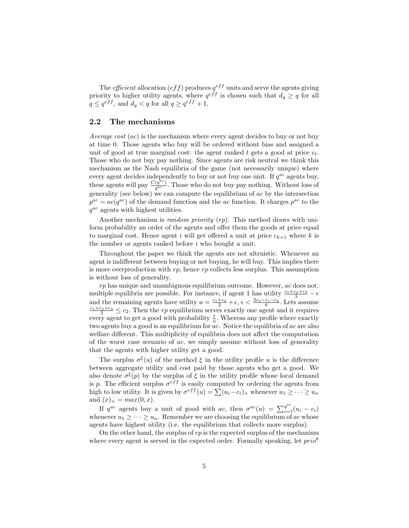The *efficient* allocation  $(eff)$  produces  $q^{eff}$  units and serve the agents giving priority to higher utility agents, where  $q^{eff}$  is chosen such that  $d_q \ge q$  for all  $q \leq q^{eff}$ , and  $d_q < q$  for all  $q \geq q^{eff} + 1$ .

# 2.2 The mechanisms

*Average cost*  $(ac)$  is the mechanism where every agent decides to buy or not buy at time 0. Those agents who buy will be ordered without bias and assigned a unit of good at true marginal cost: the agent ranked t gets a good at price  $c_t$ . Those who do not buy pay nothing. Since agents are risk neutral we think this mechanism as the Nash equilibria of the game (not necessarily unique) where every agent decides independently to buy or not buy one unit. If  $q^{ac}$  agents buy, these agents will pay  $\frac{C(q^{ac})}{q^{ac}}$  $\frac{(q^{-s})}{q^{ac}}$ . Those who do not buy pay nothing. Without loss of generality (see below) we can compute the equilibrium of ac by the intersection  $p^{ac} = ac(q^{ac})$  of the demand function and the *ac* function. It charges  $p^{ac}$  to the  $q^{ac}$  agents with highest utilities.

Another mechanism is *random priority*  $(rp)$ . This method draws with uniform probability an order of the agents and offer them the goods at price equal to marginal cost. Hence agent i will get offered a unit at price  $c_{k+1}$  where k is the number or agents ranked before i who bought a unit.

Throughout the paper we think the agents are not altruistic. Whenever an agent is indifferent between buying or not buying, he will buy. This implies there is more overproduction with  $rp$ , hence  $rp$  collects less surplus. This assumption is without loss of generality.

 $rp$  has unique and unambiguous equilibrium outcome. However,  $ac$  does not: multiple equilibria are possible. For instance, if agent 1 has utility  $\frac{c_1+c_2+c_3}{3}-\epsilon$ and the remaining agents have utility  $u = \frac{c_1+c_2}{2} + \epsilon$ ,  $\epsilon < \frac{2c_3-c_1-c_2}{6}$ . Lets assume  $\frac{c_1+c_2+c_3}{3} \leq c_2$ . Then the *rp* equilibrium serves exactly one agent and it requires every agent to get a good with probability  $\frac{1}{n}$ . Whereas any profile where exactly two agents buy a good is an equilibrium for  $ac$ . Notice the equilibria of  $ac$  are also welfare different. This multiplicity of equilibria does not affect the computation of the worst case scenario of ac, we simply assume without loss of generality that the agents with higher utility get a good.

The surplus  $\sigma^{\xi}(u)$  of the method  $\xi$  in the utility profile u is the difference between aggregate utility and cost paid by those agents who get a good. We also denote  $\sigma^{\xi}(p)$  by the surplus of  $\xi$  in the utility profile whose local demand is p. The efficient surplus  $\sigma^{eff}$  is easily computed by ordering the agents from high to low utility. It is given by  $\sigma^{eff}(u) = \sum (u_i - c_i)_+$  whenever  $u_1 \geq \cdots \geq u_n$ and  $(x)_{+} = max(0, x)$ .

If  $q^{ac}$  agents buy a unit of good with ac, then  $\sigma^{ac}(u) = \sum_{i=1}^{q^{ac}} (u_i - c_i)$ whenever  $u_1 \geq \cdots \geq u_n$ . Remember we are choosing the equilibrium of ac whose agents have highest utility (i.e. the equilibrium that collects more surplus).

On the other hand, the surplus of  $rp$  is the expected surplus of the mechanism where every agent is served in the expected order. Formally speaking, let  $\text{prio}^{\theta}$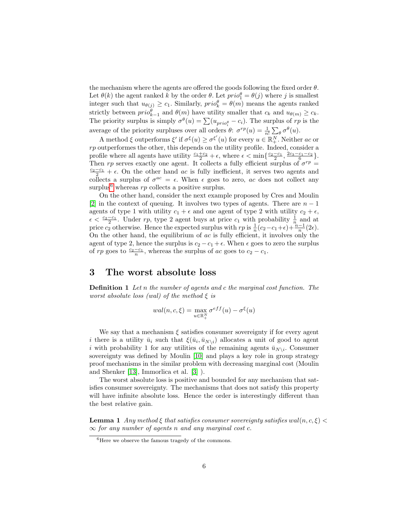the mechanism where the agents are offered the goods following the fixed order  $\theta$ . Let  $\theta(k)$  the agent ranked k by the order  $\theta$ . Let  $\text{prio}_1^{\theta} = \theta(j)$  where j is smallest integer such that  $u_{\theta(j)} \geq c_1$ . Similarly,  $\text{proj}_{k} = \theta(m)$  means the agents ranked strictly between  $\text{prio}_{k-1}^{\theta}$  and  $\theta(m)$  have utility smaller that  $c_k$  and  $u_{\theta(m)} \ge c_k$ . The priority surplus is simply  $\sigma^{\theta}(u) = \sum (u_{prio_i^{\theta}} - c_i)$ . The surplus of rp is the average of the priority surpluses over all orders  $\theta$ :  $\sigma^{rp}(u) = \frac{1}{n!} \sum_{\theta} \sigma^{\theta}(u)$ .

A method  $\xi$  outperforms  $\xi'$  if  $\sigma^{\xi}(u) \geq \sigma^{\xi'}(u)$  for every  $u \in \mathbb{R}^N_+$ . Neither ac or  $rp$  outperformes the other, this depends on the utility profile. Indeed, consider a profile where all agents have utility  $\frac{c_1+c_2}{2}+\epsilon$ , where  $\epsilon < \min\{\frac{c_2-c_1}{2}, \frac{2c_3-c_1-c_2}{6}\}.$ Then rp serves exactly one agent. It collects a fully efficient surplus of  $\sigma^{rp} =$  $\frac{c_2-c_1}{2} + \epsilon$ . On the other hand ac is fully inefficient, it serves two agents and collects a surplus of  $\sigma^{ac} = \epsilon$ . When  $\epsilon$  goes to zero, ac does not collect any surplus<sup>[6](#page-5-1)</sup> whereas  $rp$  collects a positive surplus.

On the other hand, consider the next example proposed by Cres and Moulin [\[2\]](#page-20-1) in the context of queuing. It involves two types of agents. There are  $n-1$ agents of type 1 with utility  $c_1 + \epsilon$  and one agent of type 2 with utility  $c_2 + \epsilon$ ,  $\epsilon < \frac{c_2-c_1}{2}$ . Under rp, type 2 agent buys at price  $c_1$  with probability  $\frac{1}{n}$  and at price  $c_2$  otherwise. Hence the expected surplus with  $rp$  is  $\frac{1}{n}(c_2-c_1+\epsilon)+\frac{n-1}{n}(2\epsilon)$ . On the other hand, the equilibrium of  $ac$  is fully efficient, it involves only the agent of type 2, hence the surplus is  $c_2 - c_1 + \epsilon$ . When  $\epsilon$  goes to zero the surplus of rp goes to  $\frac{c_2-c_1}{n}$ , whereas the surplus of ac goes to  $c_2-c_1$ .

# 3 The worst absolute loss

Definition 1 Let n the number of agents and c the marginal cost function. The worst absolute loss (wal) of the method  $\xi$  is

$$
wal(n, c, \xi) = \max_{u \in \mathbb{R}^N_+} \sigma^{eff}(u) - \sigma^{\xi}(u)
$$

We say that a mechanism  $\xi$  satisfies consumer sovereignty if for every agent *i* there is a utility  $\bar{u}_i$  such that  $\xi(\bar{u}_i, \bar{u}_{N\setminus i})$  allocates a unit of good to agent i with probability 1 for any utilities of the remaining agents  $\bar{u}_{N\setminus i}$ . Consumer sovereignty was defined by Moulin [\[10\]](#page-21-9) and plays a key role in group strategy proof mechanisms in the similar problem with decreasing marginal cost (Moulin and Shenker [\[13\]](#page-21-10), Immorlica et al. [\[3\]](#page-20-2) ).

The worst absolute loss is positive and bounded for any mechanism that satisfies consumer sovereignty. The mechanisms that does not satisfy this property will have infinite absolute loss. Hence the order is interestingly different than the best relative gain.

<span id="page-5-0"></span>**Lemma 1** Any method  $\xi$  that satisfies consumer sovereignty satisfies wall  $(n, c, \xi)$  $\infty$  for any number of agents n and any marginal cost c.

<span id="page-5-1"></span> ${}^{6}$ Here we observe the famous tragedy of the commons.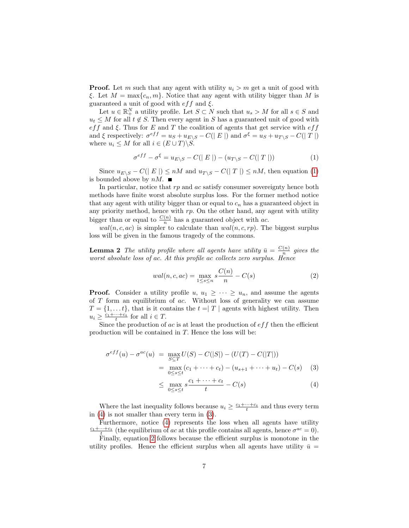**Proof.** Let m such that any agent with utility  $u_i > m$  get a unit of good with ξ. Let  $M = \max\{c_n, m\}$ . Notice that any agent with utility bigger than M is guaranteed a unit of good with  $eff$  and  $\xi$ .

Let  $u \in \mathbb{R}_+^N$  a utility profile. Let  $S \subset N$  such that  $u_s > M$  for all  $s \in S$  and  $u_t \leq M$  for all  $t \notin S$ . Then every agent in S has a guaranteed unit of good with eff and  $\xi$ . Thus for E and T the coalition of agents that get service with eff and  $\xi$  respectively:  $\sigma^{eff} = u_S + u_{E\setminus S} - C(|E|)$  and  $\sigma^{\xi} = u_S + u_{T\setminus S} - C(|T|)$ where  $u_i \leq M$  for all  $i \in (E \cup T) \backslash S$ .

<span id="page-6-0"></span>
$$
\sigma^{eff} - \sigma^{\xi} = u_{E \setminus S} - C(|E|) - (u_{T \setminus S} - C(|T|)) \tag{1}
$$

Since  $u_{E\setminus S} - C(|E|) \leq nM$  and  $u_{T\setminus S} - C(|T|) \leq nM$ , then equation [\(1\)](#page-6-0) is bounded above by  $nM$ .

In particular, notice that  $rp$  and  $ac$  satisfy consumer sovereignty hence both methods have finite worst absolute surplus loss. For the former method notice that any agent with utility bigger than or equal to  $c_n$  has a guaranteed object in any priority method, hence with  $rp$ . On the other hand, any agent with utility bigger than or equal to  $\frac{C(n)}{n}$  has a guaranteed object with ac.

 $wall(n, c, ac)$  is simpler to calculate than  $wall(n, c, rp)$ . The biggest surplus loss will be given in the famous tragedy of the commons.

<span id="page-6-3"></span>**Lemma 2** The utility profile where all agents have utility  $\bar{u} = \frac{C(n)}{n}$  $\frac{(n)}{n}$  gives the worst absolute loss of ac. At this profile ac collects zero surplus. Hence

<span id="page-6-2"></span>
$$
wal(n, c, ac) = \max_{1 \le s \le n} s \frac{C(n)}{n} - C(s)
$$
\n(2)

**Proof.** Consider a utility profile  $u, u_1 \geq \cdots \geq u_n$ , and assume the agents of  $T$  form an equilibrium of  $ac$ . Without loss of generality we can assume  $T = \{1, \ldots t\}$ , that is it contains the  $t = |T|$  agents with highest utility. Then  $u_i \geq \frac{c_1 + \dots + c_t}{t}$  for all  $i \in T$ .

Since the production of  $ac$  is at least the production of  $eff$  then the efficient production will be contained in T. Hence the loss will be:

<span id="page-6-1"></span>
$$
\sigma^{eff}(u) - \sigma^{ac}(u) = \max_{S \subseteq T} U(S) - C(|S|) - (U(T) - C(|T|))
$$
  
= 
$$
\max_{0 \le s \le t} (c_1 + \dots + c_t) - (u_{s+1} + \dots + u_t) - C(s)
$$
 (3)

$$
\leq \max_{0 \leq s \leq t} s \frac{c_1 + \dots + c_t}{t} - C(s) \tag{4}
$$

Where the last inequality follows because  $u_i \geq \frac{c_1 + \cdots + c_t}{t}$  and thus every term in [\(4\)](#page-6-1) is not smaller than every term in [\(3\)](#page-6-1).

Furthermore, notice [\(4\)](#page-6-1) represents the loss when all agents have utility  $\frac{c_1 + \dots + c_t}{t}$  (the equilibrium of ac at this profile contains all agents, hence  $\sigma^{ac} = 0$ ).

Finally, equation [2](#page-6-2) follows because the efficient surplus is monotone in the utility profiles. Hence the efficient surplus when all agents have utility  $\bar{u} =$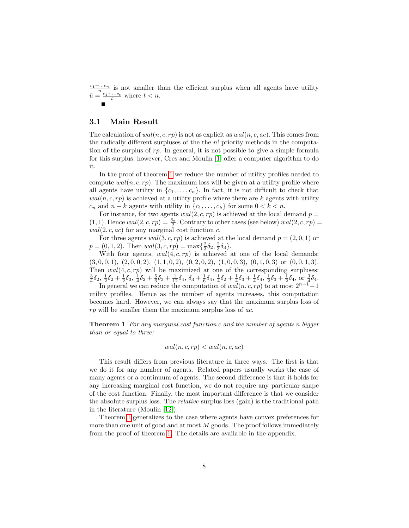$\frac{c_1 + ... c_n}{n}$  is not smaller than the efficient surplus when all agents have utility  $\bar{u} = \frac{c_1 + \ldots c_t}{t}$  where  $t < n$ .

### 3.1 Main Result

The calculation of  $wal(n, c, rp)$  is not as explicit as  $wal(n, c, ac)$ . This comes from the radically different surpluses of the the  $n!$  priority methods in the computation of the surplus of  $rp$ . In general, it is not possible to give a simple formula for this surplus, however, Cres and Moulin [\[1\]](#page-20-0) offer a computer algorithm to do it.

In the proof of theorem [1](#page-7-0) we reduce the number of utility profiles needed to compute  $wal(n, c, rp)$ . The maximum loss will be given at a utility profile where all agents have utility in  $\{c_1, \ldots, c_n\}$ . In fact, it is not difficult to check that  $wal(n, c, rp)$  is achieved at a utility profile where there are k agents with utility  $c_n$  and  $n - k$  agents with utility in  $\{c_1, \ldots, c_k\}$  for some  $0 < k < n$ .

For instance, for two agents  $wal(2, c, rp)$  is achieved at the local demand  $p =$ (1, 1). Hence  $wal(2, c, rp) = \frac{\delta_2}{2}$ . Contrary to other cases (see below)  $wal(2, c, rp) =$  $wal(2, c, ac)$  for any marginal cost function c.

For three agents  $wal(3, c, rp)$  is achieved at the local demand  $p = (2, 0, 1)$  or  $p = (0, 1, 2)$ . Then  $wal(3, c, rp) = \max{\frac{2}{3}\delta_2, \frac{2}{3}\delta_3}.$ 

With four agents,  $wall(4, c, rp)$  is achieved at one of the local demands:  $(3, 0, 0, 1), (2, 0, 0, 2), (1, 1, 0, 2), (0, 2, 0, 2), (1, 0, 0, 3), (0, 1, 0, 3)$  or  $(0, 0, 1, 3)$ . Then  $wal(4, c, rp)$  will be maximized at one of the corresponding surpluses:  $\frac{3}{4}\delta_2, \frac{1}{2}\delta_2 + \frac{1}{2}\delta_3, \frac{1}{4}\delta_2 + \frac{5}{6}\delta_3 + \frac{1}{12}\delta_4, \delta_3 + \frac{1}{6}\delta_4, \frac{1}{4}\delta_2 + \frac{1}{4}\delta_3 + \frac{1}{4}\delta_4, \frac{1}{2}\delta_3 + \frac{1}{2}\delta_4$ , or  $\frac{3}{4}\delta_4$ .

In general we can reduce the computation of  $wal(n, c, rp)$  to at most  $2^{n-1}-1$ utility profiles. Hence as the number of agents increases, this computation becomes hard. However, we can always say that the maximum surplus loss of  $rp$  will be smaller them the maximum surplus loss of  $ac$ .

<span id="page-7-0"></span>**Theorem 1** For any marginal cost function c and the number of agents n bigger than or equal to three:

$$
wal(n, c, rp) < wall(n, c, ac)
$$

This result differs from previous literature in three ways. The first is that we do it for any number of agents. Related papers usually works the case of many agents or a continuum of agents. The second difference is that it holds for any increasing marginal cost function, we do not require any particular shape of the cost function. Finally, the most important difference is that we consider the absolute surplus loss. The relative surplus loss (gain) is the traditional path in the literature (Moulin [\[12\]](#page-21-4)).

Theorem [1](#page-7-0) generalizes to the case where agents have convex preferences for more than one unit of good and at most  $M$  goods. The proof follows immediately from the proof of theorem [1.](#page-7-0) The details are available in the appendix.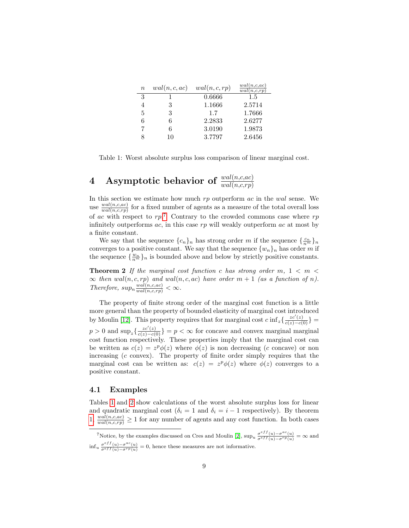| $\boldsymbol{n}$ | wall(n, c, ac) | wall(n, c, rp) | wall(n,c,ac)<br>wall(n,c,rp) |
|------------------|----------------|----------------|------------------------------|
| 3                |                | 0.6666         | 1.5                          |
| 4                | 3              | 1.1666         | 2.5714                       |
| 5                | 3              | 1.7            | 1.7666                       |
| 6                |                | 2.2833         | 2.6277                       |
|                  | 6              | 3.0190         | 1.9873                       |
|                  | 10             | 3.7797         | 2.6456                       |

<span id="page-8-2"></span>Table 1: Worst absolute surplus loss comparison of linear marginal cost.

# $4$  Asymptotic behavior of  $\frac{wal(n,c,ac)}{wall(n,c,rp)}$

In this section we estimate how much  $rp$  outperform  $ac$  in the wal sense. We use  $\frac{wal(n,c,ac)}{wal(n,c,m)}$  $\frac{wall(n,c,ac)}{wall(n,c,rp)}$  for a fixed number of agents as a measure of the total overall loss of ac with respect to  $rp$ <sup>[7](#page-8-1)</sup>. Contrary to the crowded commons case where rp infinitely outperforms  $ac$ , in this case  $rp$  will weakly outperform  $ac$  at most by a finite constant.

We say that the sequence  $\{c_n\}_n$  has strong order m if the sequence  $\{\frac{c_n}{n^m}\}_n$ converges to a positive constant. We say that the sequence  $\{w_n\}_n$  has order m if the sequence  $\{\frac{w_n}{n^m}\}_n$  is bounded above and below by strictly positive constants.

<span id="page-8-0"></span>**Theorem 2** If the marginal cost function c has strong order m,  $1 < m <$  $\infty$  then wal $(n, c, rp)$  and wal $(n, c, ac)$  have order  $m + 1$  (as a function of n). Therefore,  $sup_n \frac{wall(n,c,ac)}{wall(n,c,rp)} < \infty$ .

The property of finite strong order of the marginal cost function is a little more general than the property of bounded elasticity of marginal cost introduced by Moulin [\[12\]](#page-21-4). This property requires that for marginal cost  $c \inf_z \left\{ \frac{zc'(z)}{c(z)-c(0)} \right\} =$  $p > 0$  and  $\sup_z \left\{ \frac{zc'(z)}{c(z) - c(0)} \right\} = p < \infty$  for concave and convex marginal marginal cost function respectively. These properties imply that the marginal cost can be written as  $c(z) = z^p \phi(z)$  where  $\phi(z)$  is non decreasing (c concave) or non increasing (c convex). The property of finite order simply requires that the marginal cost can be written as:  $c(z) = z^p \phi(z)$  where  $\phi(z)$  converges to a positive constant.

### 4.1 Examples

Tables [1](#page-8-2) and [2](#page-9-0) show calculations of the worst absolute surplus loss for linear and quadratic marginal cost ( $\delta_i = 1$  and  $\delta_i = i - 1$  respectively). By theorem [1,](#page-7-0)  $\frac{wal(n,c,ac)}{wall(n,c,rp)} \geq 1$  for any number of agents and any cost function. In both cases

<span id="page-8-1"></span><sup>&</sup>lt;sup>7</sup>Notice, by the examples discussed on Cres and Moulin [\[2\]](#page-20-1),  $\sup_u \frac{\sigma^{eff}(u) - \sigma^{ac}(u)}{\sigma^{eff}(u) - \sigma^{rp}(u)} = \infty$  and  $\inf_u \frac{\sigma^{eff}(u) - \sigma^{ac}(u)}{\sigma^{eff}(u) - \sigma^{rp}(u)} = 0$ , hence these measures are not informative.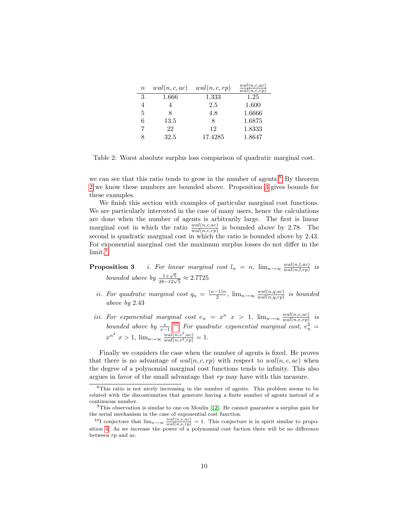| $\boldsymbol{n}$ | wall(n, c, ac) | wall(n, c, rp) | wall(n,c,ac)<br>wall(n,c,rp) |
|------------------|----------------|----------------|------------------------------|
| 3                | 1.666          | 1.333          | 1.25                         |
|                  |                | 2.5            | 1.600                        |
| 5                | 8              | 4.8            | 1.6666                       |
| 6                | 13.5           | 8              | 1.6875                       |
|                  | 22             | 12             | 1.8333                       |
|                  | 32.5           | 17.4285        | 1.8647                       |

<span id="page-9-0"></span>Table 2: Worst absolute surplus loss comparison of quadratic marginal cost.

we can see that this ratio tends to grow in the number of agents.<sup>[8](#page-9-1)</sup> By theorem [2](#page-8-0) we know these numbers are bounded above. Proposition [3](#page-9-2) gives bounds for these examples.

We finish this section with examples of particular marginal cost functions. We are particularly interested in the case of many users, hence the calculations are done when the number of agents is arbitrarily large. The first is linear marginal cost in which the ratio  $\frac{wal(n,c,ac)}{wal(n,c,rp)}$  is bounded above by 2.78. The second is quadratic marginal cost in which the ratio is bounded above by 2.43. For exponential marginal cost the maximum surplus losses do not differ in the limit.<sup>[9](#page-9-3)</sup>

<span id="page-9-2"></span>**Proposition 3** i. For linear marginal cost  $l_n = n$ ,  $\lim_{n \to \infty} \frac{wall(n, l, ac)}{wall(n, l, rn)}$  $\frac{w a l(n,l,ac)}{w a l(n,l,rp)}$  is bounded above by  $\frac{1+\sqrt{5}}{28-12\sqrt{5}} \approx 2.7725$ 

- ii. For quadratic marginal cost  $q_n = \frac{(n-1)n}{2}$  $\frac{(n-1)n}{2}$ ,  $\lim_{n\to\infty} \frac{wal(n,q,ac)}{wall(n,q,rp)}$  $\frac{wall(n,q,ac)}{wall(n,q,rp)}$  is bounded above by 2.43
- iii. For exponential marginal cost  $e_n = x^n$   $x > 1$ ,  $\lim_{n\to\infty} \frac{wall(n,e,ac)}{wall(n,e,rn)}$  $\frac{wall(n,e,ac)}{wall(n,e,rp)}$  is bounded above by  $\frac{x}{x-1}$ .<sup>[10](#page-9-4)</sup> For quadratic exponential marginal cost,  $e_n^2 =$  $x^{n^2}$   $x > 1$ ,  $\lim_{n \to \infty} \frac{wal(n, e^2, ac)}{wall(n, e^2, rp)} = 1$ .

Finally we considers the case when the number of agents is fixed. He proves that there is no advantage of  $wall(n, c, rp)$  with respect to  $wall(n, c, ac)$  when the degree of a polynomial marginal cost functions tends to infinity. This also argues in favor of the small advantage that  $rp$  may have with this measure.

<span id="page-9-5"></span><span id="page-9-1"></span><sup>8</sup>This ratio is not nicely increasing in the number of agents. This problem seems to be related with the discontinuities that generate having a finite number of agents instead of a continuous number.

<span id="page-9-3"></span><sup>&</sup>lt;sup>9</sup>This observation is similar to one on Moulin [\[12\]](#page-21-4). He cannot guarantee a surplus gain for the serial mechanism in the case of exponential cost function.

<span id="page-9-4"></span><sup>&</sup>lt;sup>10</sup>I conjecture that  $\lim_{n\to\infty} \frac{wal(n,e,ac)}{wal(n,e,rp)} = 1$ . This conjecture is in spirit similar to proposition [4:](#page-9-5) As we increase the power of a polynomial cost fuction there will be no difference between rp and ac.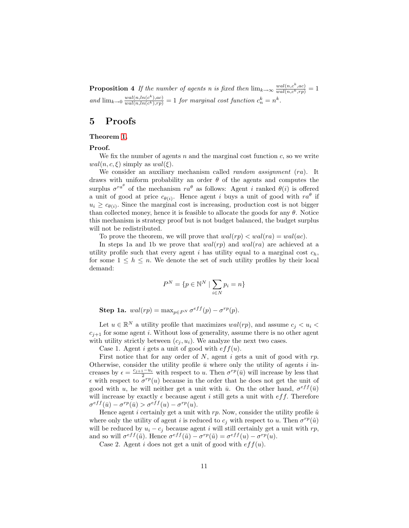**Proposition 4** If the number of agents n is fixed then  $\lim_{k\to\infty} \frac{wal(n,c^k,ac)}{wall(n,c^k,rp)} = 1$ and  $\lim_{k\to 0} \frac{wal(n, ln(c^k), ac)}{wal(n, ln(c^k), rn)}$  $\frac{wali(n, ln(c^k), ac)}{wali(n, ln(c^k), rp)} = 1$  for marginal cost function  $c_n^k = n^k$ .

# 5 Proofs

#### Theorem [1.](#page-7-0)

### Proof.

We fix the number of agents n and the marginal cost function  $c$ , so we write  $wal(n, c, \xi)$  simply as  $wal(\xi)$ .

We consider an auxiliary mechanism called *random assignment* (*ra*). It draws with uniform probability an order  $\theta$  of the agents and computes the surplus  $\sigma^{r a^{\theta}}$  of the mechanism  $r a^{\theta}$  as follows: Agent *i* ranked  $\theta(i)$  is offered a unit of good at price  $c_{\theta(i)}$ . Hence agent i buys a unit of good with  $ra^{\theta}$  if  $u_i \geq c_{\theta(i)}$ . Since the marginal cost is increasing, production cost is not bigger than collected money, hence it is feasible to allocate the goods for any  $\theta$ . Notice this mechanism is strategy proof but is not budget balanced, the budget surplus will not be redistributed.

To prove the theorem, we will prove that  $wal(rp) < wall(ra) = wall(ac)$ .

In steps 1a and 1b we prove that  $wall(rp)$  and  $wall(ra)$  are achieved at a utility profile such that every agent i has utility equal to a marginal cost  $c_h$ , for some  $1 \leq h \leq n$ . We denote the set of such utility profiles by their local demand:

$$
P^N = \{ p \in \mathbb{N}^N \mid \sum_{i \in N} p_i = n \}
$$

**Step 1a.**  $wal(rp) = \max_{p \in P^N} \sigma^{eff}(p) - \sigma^{rp}(p)$ .

Let  $u \in \mathbb{R}^N$  a utility profile that maximizes  $wal(rp)$ , and assume  $c_j < u_i$  $c_{j+1}$  for some agent i. Without loss of generality, assume there is no other agent with utility strictly between  $(c_j, u_i)$ . We analyze the next two cases.

Case 1. Agent *i* gets a unit of good with  $eff(u)$ .

First notice that for any order of  $N$ , agent i gets a unit of good with rp. Otherwise, consider the utility profile  $\bar{u}$  where only the utility of agents i increases by  $\epsilon = \frac{c_{j+1}-u_i}{2}$  with respect to u. Then  $\sigma^{rp}(\bar{u})$  will increase by less that  $\epsilon$  with respect to  $\sigma^{rp}(u)$  because in the order that he does not get the unit of good with u, he will neither get a unit with  $\bar{u}$ . On the other hand,  $\sigma^{eff}(\bar{u})$ will increase by exactly  $\epsilon$  because agent i still gets a unit with eff. Therefore  $\sigma^{eff}(\bar{u}) - \sigma^{rp}(\bar{u}) > \sigma^{eff}(u) - \sigma^{rp}(u).$ 

Hence agent *i* certainly get a unit with rp. Now, consider the utility profile  $\tilde{u}$ where only the utility of agent *i* is reduced to  $c_j$  with respect to u. Then  $\sigma^{rp}(\tilde{u})$ will be reduced by  $u_i - c_j$  because agent i will still certainly get a unit with rp, and so will  $\sigma^{eff}(\tilde{u})$ . Hence  $\sigma^{eff}(\tilde{u}) - \sigma^{rp}(\tilde{u}) = \sigma^{eff}(u) - \sigma^{rp}(u)$ .

Case 2. Agent i does not get a unit of good with  $eff(u)$ .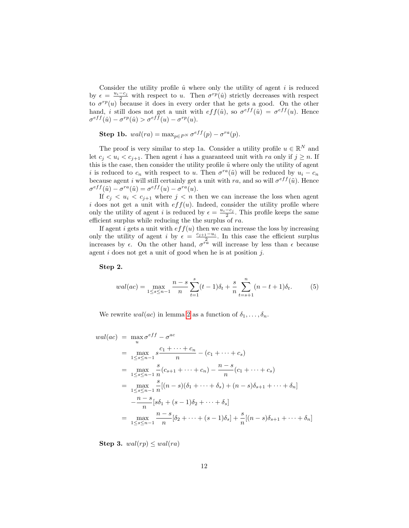Consider the utility profile  $\hat{u}$  where only the utility of agent i is reduced by  $\epsilon = \frac{u_i - c_j}{2}$  with respect to u. Then  $\sigma^{rp}(\hat{u})$  strictly decreases with respect to  $\sigma^{rp}(u)$  because it does in every order that he gets a good. On the other hand, i still does not get a unit with  $eff(\hat{u})$ , so  $\sigma^{eff}(\hat{u}) = \sigma^{eff}(u)$ . Hence  $\sigma^{eff}(\hat{u}) - \sigma^{rp}(\hat{u}) > \sigma^{eff}(u) - \sigma^{rp}(u).$ 

**Step 1b.**  $wal(ra) = \max_{p \in P^N} \sigma^{eff}(p) - \sigma^{ra}(p)$ .

The proof is very similar to step 1a. Consider a utility profile  $u \in \mathbb{R}^N$  and let  $c_j < u_i < c_{j+1}$ . Then agent i has a guaranteed unit with ra only if  $j \geq n$ . If this is the case, then consider the utility profile  $\tilde{u}$  where only the utility of agent *i* is reduced to  $c_n$  with respect to u. Then  $\sigma^{ra}(\tilde{u})$  will be reduced by  $u_i - c_n$ because agent *i* will still certainly get a unit with ra, and so will  $\sigma^{eff}(\tilde{u})$ . Hence  $\sigma^{eff}(\tilde{u}) - \sigma^{ra}(\tilde{u}) = \sigma^{eff}(u) - \sigma^{ra}(u).$ 

If  $c_j < u_i < c_{j+1}$  where  $j < n$  then we can increase the loss when agent i does not get a unit with  $eff(u)$ . Indeed, consider the utility profile where only the utility of agent i is reduced by  $\epsilon = \frac{u_i - c_j}{2}$ . This profile keeps the same efficient surplus while reducing the the surplus of  $ra$ .

If agent i gets a unit with  $eff(u)$  then we can increase the loss by increasing only the utility of agent i by  $\epsilon = \frac{c_{j+1}-u_i}{2}$ . In this case the efficient surplus increases by  $\epsilon$ . On the other hand,  $\sigma^{r\bar{a}}$  will increase by less than  $\epsilon$  because agent  $i$  does not get a unit of good when he is at position  $j$ .

Step 2.

<span id="page-11-0"></span>
$$
wal(ac) = \max_{1 \le s \le n-1} \frac{n-s}{n} \sum_{t=1}^{s} (t-1)\delta_t + \frac{s}{n} \sum_{t=s+1}^{n} (n-t+1)\delta_t.
$$
 (5)

We rewrite  $wal(ac)$  in lemma [2](#page-6-3) as a function of  $\delta_1, \ldots, \delta_n$ .

$$
wal(ac) = \max_{u} \sigma^{eff} - \sigma^{ac}
$$
  
\n
$$
= \max_{1 \le s \le n-1} s \frac{c_1 + \dots + c_n}{n} - (c_1 + \dots + c_s)
$$
  
\n
$$
= \max_{1 \le s \le n-1} \frac{s}{n} (c_{s+1} + \dots + c_n) - \frac{n-s}{n} (c_1 + \dots + c_s)
$$
  
\n
$$
= \max_{1 \le s \le n-1} \frac{s}{n} [(n-s)(\delta_1 + \dots + \delta_s) + (n-s)\delta_{s+1} + \dots + \delta_n]
$$
  
\n
$$
- \frac{n-s}{n} [s\delta_1 + (s-1)\delta_2 + \dots + \delta_s]
$$
  
\n
$$
= \max_{1 \le s \le n-1} \frac{n-s}{n} [\delta_2 + \dots + (s-1)\delta_s] + \frac{s}{n} [(n-s)\delta_{s+1} + \dots + \delta_n]
$$

Step 3.  $wal(rp) \leq wall(ra)$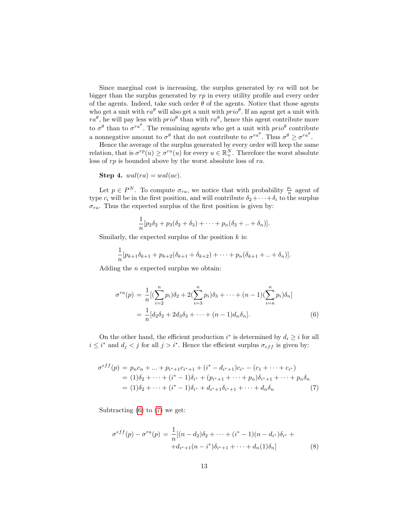Since marginal cost is increasing, the surplus generated by ra will not be bigger than the surplus generated by  $rp$  in every utility profile and every order of the agents. Indeed, take such order  $\theta$  of the agents. Notice that those agents who get a unit with  $ra^{\theta}$  will also get a unit with  $prio^{\theta}$ . If an agent get a unit with  $ra^{\theta}$ , he will pay less with  $prio^{\theta}$  than with  $ra^{\theta}$ , hence this agent contribute more to  $\sigma^{\theta}$  than to  $\sigma^{r a^{\theta}}$ . The remaining agents who get a unit with  $p r i \sigma^{\theta}$  contribute a nonnegative amount to  $\sigma^{\theta}$  that do not contribute to  $\sigma^{r a^{\theta}}$ . Thus  $\sigma^{\theta} \geq \sigma^{r a^{\theta}}$ .

Hence the average of the surplus generated by every order will keep the same relation, that is  $\sigma^{rp}(u) \geq \sigma^{ra}(u)$  for every  $u \in \mathbb{R}^N_+$ . Therefore the worst absolute loss of  $rp$  is bounded above by the worst absolute loss of  $ra$ .

Step 4. 
$$
wal(ra) = wal(ac)
$$
.

Let  $p \in P^N$ . To compute  $\sigma_{ra}$ , we notice that with probability  $\frac{p_i}{n}$  agent of type  $c_i$  will be in the first position, and will contribute  $\delta_2 + \cdots + \delta_i$  to the surplus  $\sigma_{ra}$ . Thus the expected surplus of the first position is given by:

$$
\frac{1}{n}[p_2\delta_2+p_3(\delta_2+\delta_3)+\cdots+p_n(\delta_2+\ldots+\delta_n)].
$$

Similarly, the expected surplus of the position  $k$  is:

$$
\frac{1}{n}[p_{k+1}\delta_{k+1}+p_{k+2}(\delta_{k+1}+\delta_{k+2})+\cdots+p_n(\delta_{k+1}+\ldots+\delta_n)].
$$

Adding the  $n$  expected surplus we obtain:

<span id="page-12-0"></span>
$$
\sigma^{ra}(p) = \frac{1}{n} [(\sum_{i=2}^{n} p_i)\delta_2 + 2(\sum_{i=3}^{n} p_i)\delta_3 + \dots + (n-1)(\sum_{i=n}^{n} p_i)\delta_n]
$$
  
= 
$$
\frac{1}{n} [d_2\delta_2 + 2d_3\delta_3 + \dots + (n-1)d_n\delta_n].
$$
 (6)

On the other hand, the efficient production  $i^*$  is determined by  $d_i \geq i$  for all  $i \leq i^*$  and  $d_j < j$  for all  $j > i^*$ . Hence the efficient surplus  $\sigma_{eff}$  is given by:

<span id="page-12-1"></span>
$$
\sigma^{eff}(p) = p_n c_n + \dots + p_{i^*+1} c_{i^*+1} + (i^* - d_{i^*+1}) c_{i^*} - (c_1 + \dots + c_{i^*})
$$
  
= (1)\delta\_2 + \dots + (i^\* - 1)\delta\_{i^\*} + (p\_{i^\*+1} + \dots + p\_n)\delta\_{i^\*+1} + \dots + p\_n\delta\_n  
= (1)\delta\_2 + \dots + (i^\* - 1)\delta\_{i^\*} + d\_{i^\*+1}\delta\_{i^\*+1} + \dots + d\_n\delta\_n (7)

Subtracting  $(6)$  to  $(7)$  we get:

<span id="page-12-2"></span>
$$
\sigma^{eff}(p) - \sigma^{ra}(p) = \frac{1}{n} [(n - d_2)\delta_2 + \dots + (i^* - 1)(n - d_{i^*})\delta_{i^*} ++ d_{i^*+1}(n - i^*)\delta_{i^*+1} + \dots + d_n(1)\delta_n]
$$
\n(8)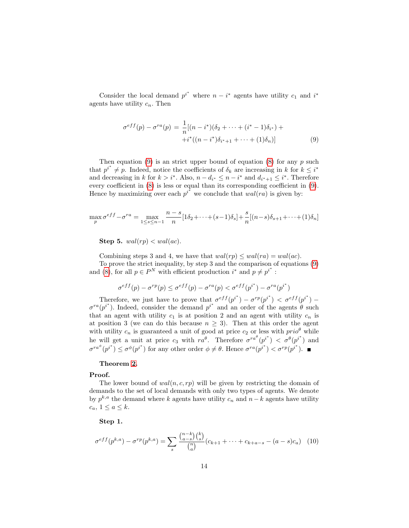Consider the local demand  $p^{i^*}$  where  $n - i^*$  agents have utility  $c_1$  and  $i^*$ agents have utility  $c_n$ . Then

<span id="page-13-0"></span>
$$
\sigma^{eff}(p) - \sigma^{ra}(p) = \frac{1}{n} [(n - i^{*})(\delta_{2} + \dots + (i^{*} - 1)\delta_{i^{*}}) + i^{*}((n - i^{*})\delta_{i^{*}+1} + \dots + (1)\delta_{n})]
$$
\n(9)

Then equation [\(9\)](#page-13-0) is an strict upper bound of equation [\(8\)](#page-12-2) for any  $p$  such that  $p^{i^*} \neq p$ . Indeed, notice the coefficients of  $\delta_k$  are increasing in k for  $k \leq i^*$ and decreasing in k for  $k > i^*$ . Also,  $n - d_{i^*} \leq n - i^*$  and  $d_{i^*+1} \leq i^*$ . Therefore every coefficient in [\(8\)](#page-12-2) is less or equal than its corresponding coefficient in [\(9\)](#page-13-0). Hence by maximizing over each  $p^{i^*}$  we conclude that  $wal(ra)$  is given by:

$$
\max_{p} \sigma^{eff} - \sigma^{ra} = \max_{1 \le s \le n-1} \frac{n-s}{n} [1\delta_2 + \dots + (s-1)\delta_s] + \frac{s}{n} [(n-s)\delta_{s+1} + \dots + (1)\delta_n]
$$

Step 5.  $wal(rp) < wall(ac)$ .

Combining steps 3 and 4, we have that  $wal(rp) \leq wall(ra) = wal(ac)$ . To prove the strict inequality, by step 3 and the comparison of equations [\(9\)](#page-13-0) and [\(8\)](#page-12-2), for all  $p \in P^N$  with efficient production  $i^*$  and  $p \neq p^{i^*}$ :

$$
\sigma^{eff}(p) - \sigma^{rp}(p) \leq \sigma^{eff}(p) - \sigma^{ra}(p) < \sigma^{eff}(p^{i^*}) - \sigma^{ra}(p^{i^*})
$$

Therefore, we just have to prove that  $\sigma^{eff}(p^{i^*}) - \sigma^{rp}(p^{i^*}) < \sigma^{eff}(p^{i^*}) \sigma^{ra}(p^{i^*})$ . Indeed, consider the demand  $p^{i^*}$  and an order of the agents  $\theta$  such that an agent with utility  $c_1$  is at position 2 and an agent with utility  $c_n$  is at position 3 (we can do this because  $n \geq 3$ ). Then at this order the agent with utility  $c_n$  is guaranteed a unit of good at price  $c_2$  or less with  $\text{prio}^{\theta}$  while he will get a unit at price  $c_3$  with  $ra^{\theta}$ . Therefore  $\sigma^{ra^{\theta}}(p^{i^*}) < \sigma^{\theta}(p^{i^*})$  and  $\sigma^{ra^{\phi}}(p^{i^*}) \leq \sigma^{\phi}(p^{i^*})$  for any other order  $\phi \neq \theta$ . Hence  $\sigma^{ra}(p^{i^*}) < \sigma^{rp}(p^{i^*})$ .

### Theorem [2.](#page-8-0)

#### Proof.

The lower bound of  $wal(n, c, rp)$  will be given by restricting the domain of demands to the set of local demands with only two types of agents. We denote by  $p^{k,a}$  the demand where k agents have utility  $c_n$  and  $n-k$  agents have utility  $c_a, 1 \leq a \leq k.$ 

Step 1.

$$
\sigma^{eff}(p^{k,a}) - \sigma^{rp}(p^{k,a}) = \sum_{s} \frac{\binom{n-k}{a-s} \binom{k}{s}}{\binom{n}{a}} (c_{k+1} + \dots + c_{k+a-s} - (a-s)c_a) \tag{10}
$$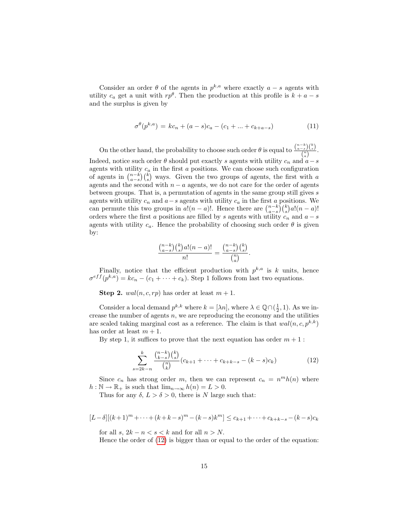Consider an order  $\theta$  of the agents in  $p^{k,a}$  where exactly  $a - s$  agents with utility  $c_a$  get a unit with  $rp^{\theta}$ . Then the production at this profile is  $k + a - s$ and the surplus is given by

$$
\sigma^{\theta}(p^{k,a}) = kc_n + (a - s)c_a - (c_1 + \dots + c_{k+a-s})
$$
\n(11)

On the other hand, the probability to choose such order  $\theta$  is equal to  $\frac{\binom{n-k}{a-s}\binom{k}{s}}{n}$  $\frac{-s}{\binom{n}{a}}$ . Indeed, notice such order  $\theta$  should put exactly s agents with utility  $c_n$  and  $a-s$ agents with utility  $c_a$  in the first a positions. We can choose such configuration of agents in  $\binom{n-k}{a-s}\binom{k}{s}$  ways. Given the two groups of agents, the first with a agents and the second with  $n - a$  agents, we do not care for the order of agents between groups. That is, a permutation of agents in the same group still gives s agents with utility  $c_n$  and  $a-s$  agents with utility  $c_a$  in the first a positions. We can permute this two groups in  $a!(n-a)!$ . Hence there are  $\binom{n-k}{a-s}\binom{k}{s}a!(n-a)!$ orders where the first a positions are filled by s agents with utility  $c_n$  and  $a - s$ agents with utility  $c_a$ . Hence the probability of choosing such order  $\theta$  is given by:

$$
\frac{\binom{n-k}{a-s}\binom{k}{s}a!(n-a)!}{n!} = \frac{\binom{n-k}{a-s}\binom{k}{s}}{\binom{n}{a}}.
$$

Finally, notice that the efficient production with  $p^{k,a}$  is k units, hence  $\sigma^{eff}(p^{k,a}) = kc_n - (c_1 + \cdots + c_k)$ . Step 1 follows from last two equations.

**Step 2.**  $wal(n, c, rp)$  has order at least  $m + 1$ .

Consider a local demand  $p^{k,k}$  where  $k = \lfloor \lambda n \rfloor$ , where  $\lambda \in \mathbb{Q} \cap (\frac{1}{2}, 1)$ . As we increase the number of agents  $n$ , we are reproducing the economy and the utilities are scaled taking marginal cost as a reference. The claim is that  $wall(n, c, p^{k,k})$ has order at least  $m + 1$ .

By step 1, it suffices to prove that the next equation has order  $m + 1$ :

<span id="page-14-0"></span>
$$
\sum_{s=2k-n}^{k} \frac{\binom{n-k}{k-s} \binom{k}{s}}{\binom{n}{k}} (c_{k+1} + \dots + c_{k+k-s} - (k-s)c_k)
$$
 (12)

Since  $c_n$  has strong order m, then we can represent  $c_n = n^m h(n)$  where  $h : \mathbb{N} \to \mathbb{R}_+$  is such that  $\lim_{n \to \infty} h(n) = L > 0$ .

Thus for any  $\delta$ ,  $L > \delta > 0$ , there is N large such that:

$$
[L-\delta][(k+1)^m + \cdots + (k+k-s)^m - (k-s)k^m] \leq c_{k+1} + \cdots + c_{k+k-s} - (k-s)c_k
$$

for all  $s, 2k - n < s < k$  and for all  $n > N$ .

Hence the order of [\(12\)](#page-14-0) is bigger than or equal to the order of the equation: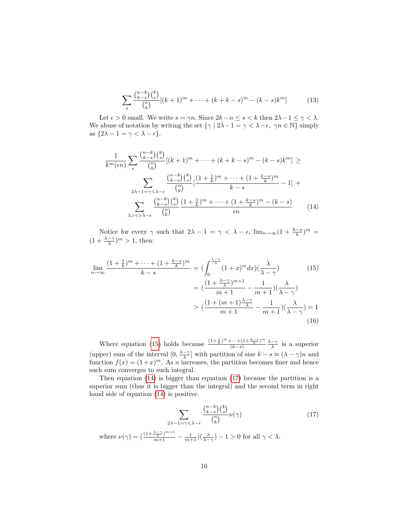$$
\sum_{s} \frac{\binom{n-k}{k-s} \binom{k}{s}}{\binom{n}{k}} [(k+1)^m + \dots + (k+k-s)^m - (k-s)k^m]
$$
 (13)

Let  $\epsilon > 0$  small. We write  $s = \gamma n$ . Since  $2k - n \leq s < k$  then  $2\lambda - 1 \leq \gamma < \lambda$ . We abuse of notation by writing the set  $\{\gamma \mid 2\lambda - 1 = \gamma < \lambda - \epsilon, \ \gamma n \in \mathbb{N}\}\$  simply as  ${2\lambda - 1 = \gamma < \lambda - \epsilon}.$ 

<span id="page-15-1"></span>
$$
\frac{1}{k^m(\epsilon n)} \sum_{s} \frac{\binom{n-k}{k-s} \binom{k}{s}}{\binom{n}{k}} [(k+1)^m + \dots + (k+k-s)^m - (k-s)k^m] \ge
$$
\n
$$
\sum_{2\lambda - 1 = \gamma < \lambda - \epsilon} \frac{\binom{n-k}{k-s} \binom{k}{s}}{\binom{n}{k}} \left[ \frac{(1+\frac{1}{k})^m + \dots + (1+\frac{k-s}{k})^m}{k-s} - 1 \right] +
$$
\n
$$
\sum_{\lambda > \gamma > \lambda - \epsilon} \frac{\binom{n-k}{k-s} \binom{k}{s}}{\binom{n}{k}} \frac{(1+\frac{1}{k})^m + \dots + (1+\frac{k-s}{k})^m - (k-s)}{\epsilon n} \tag{14}
$$

Notice for every  $\gamma$  such that  $2\lambda - 1 = \gamma < \lambda - \epsilon$ ,  $\lim_{n \to \infty} (1 + \frac{k-s}{k})^m =$  $(1 + \frac{\lambda - \gamma}{\lambda})^m > 1$ , then:

<span id="page-15-0"></span>
$$
\lim_{n \to \infty} \frac{(1 + \frac{1}{k})^m + \dots + (1 + \frac{k - s}{k})^m}{k - s} = \left( \int_0^{\frac{\lambda - \gamma}{\lambda}} (1 + x)^m dx \right) \left( \frac{\lambda}{\lambda - \gamma} \right) \tag{15}
$$
\n
$$
= \left( \frac{(1 + \frac{\lambda - \gamma}{\lambda})^{m+1}}{m+1} - \frac{1}{m+1} \right) \left( \frac{\lambda}{\lambda - \gamma} \right)
$$
\n
$$
> \left( \frac{(1 + (m+1)\frac{\lambda - \gamma}{\lambda}}{m+1} - \frac{1}{m+1} \right) \left( \frac{\lambda}{\lambda - \gamma} \right) = 1 \tag{16}
$$

Where equation [\(15\)](#page-15-0) holds because  $\frac{(1+\frac{1}{k})^m+\cdots+(1+\frac{k-s}{k})^m}{(k-s)!}$  $\frac{-(k-1)(1+\frac{k-s}{k})^m}{(k-s)}$  λ−γ is a superior (upper) sum of the interval  $[0, \frac{\lambda - \gamma}{\lambda}]$  with partition of size  $k - s \approx (\lambda - \gamma)n$  and function  $f(x) = (1+x)^m$ . As *n* increases, the partition becomes finer and hence such sum converges to such integral.

Then equation [\(14\)](#page-15-1) is bigger than equation [\(17\)](#page-15-2) because the partition is a superior sum (thus it is bigger than the integral) and the second term in right hand side of equation [\(14\)](#page-15-1) is positive.

<span id="page-15-2"></span>
$$
\sum_{2\lambda-1=\gamma<\lambda-\epsilon} \frac{\binom{n-k}{k-s}\binom{k}{s}}{\binom{n}{k}} \nu(\gamma)
$$
\nwhere  $\nu(\gamma) = \left(\frac{(1+\frac{\lambda-\gamma}{\lambda})^{m+1}}{m+1} - \frac{1}{m+1}\right)\left(\frac{\lambda}{\lambda-\gamma}\right) - 1 > 0$  for all  $\gamma < \lambda$ .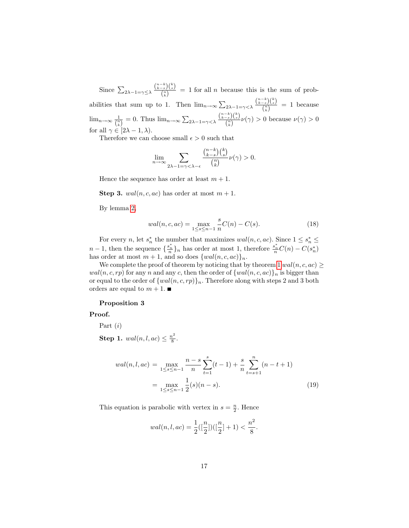Since  $\sum_{2\lambda-1=\gamma\leq\lambda} \frac{\binom{n-k}{k-s}\binom{k}{s}}{\binom{n}{k}}$  $\frac{\binom{n}{k}}{\binom{n}{k}}$  = 1 for all *n* because this is the sum of probabilities that sum up to 1. Then  $\lim_{n\to\infty}\sum_{2\lambda-1=\gamma<\lambda}\frac{\binom{n-k}{k-s}\binom{k}{s}}{\binom{n}{k}}$  $\frac{(-s)(s)}{\binom{n}{k}} = 1$  because  $\lim_{n\to\infty}\frac{1}{\binom{n}{k}}=0.$  Thus  $\lim_{n\to\infty}\sum_{n\geq 2\lambda-1=\gamma<\lambda}\frac{\binom{n-k}{k-s}\binom{k}{s}}{\binom{n}{k}}$  $\frac{(-s)(s)}{\binom{n}{k}}\nu(\gamma) > 0$  because  $\nu(\gamma) > 0$ for all  $\gamma \in [2\lambda - 1, \lambda)$ .

Therefore we can choose small  $\epsilon > 0$  such that

$$
\lim_{n \to \infty} \sum_{2\lambda - 1 = \gamma < \lambda - \epsilon} \frac{\binom{n-k}{k-s} \binom{k}{s}}{\binom{n}{k}} \nu(\gamma) > 0.
$$

Hence the sequence has order at least  $m + 1$ .

**Step 3.**  $wal(n, c, ac)$  has order at most  $m + 1$ .

By lemma [2,](#page-6-3)

$$
wal(n, c, ac) = \max_{1 \le s \le n-1} \frac{s}{n} C(n) - C(s).
$$
 (18)

For every *n*, let  $s_n^*$  the number that maximizes  $wal(n, c, ac)$ . Since  $1 \leq s_n^* \leq$  $n-1$ , then the sequence  $\{\frac{s_n^*}{n}\}_n$  has order at most 1, therefore  $\frac{s_n^*}{n}C(n) - C(s_n^*)$ has order at most  $m + 1$ , and so does  $\{wal(n, c, ac)\}_n$ .

We complete the proof of theorem by noticing that by theorem  $1 \text{ wal}(n, c, ac) \geq$  $wall(n, c, rp)$  for any n and any c, then the order of  $\{wal(n, c, ac)\}_n$  is bigger than or equal to the order of  $\{wal(n, c, rp)\}_n$ . Therefore along with steps 2 and 3 both orders are equal to  $m + 1$ .

#### Proposition 3

#### Proof.

Part (i)

Step 1.  $wal(n, l, ac) \leq \frac{n^2}{8}$  $rac{i^2}{8}$ .

$$
wal(n, l, ac) = \max_{1 \le s \le n-1} \frac{n-s}{n} \sum_{t=1}^{s} (t-1) + \frac{s}{n} \sum_{t=s+1}^{n} (n-t+1)
$$

$$
= \max_{1 \le s \le n-1} \frac{1}{2} (s)(n-s).
$$
(19)

This equation is parabolic with vertex in  $s = \frac{n}{2}$ . Hence

$$
wal(n, l, ac) = \frac{1}{2}([\frac{n}{2}])([\frac{n}{2}]+1) < \frac{n^2}{8}.
$$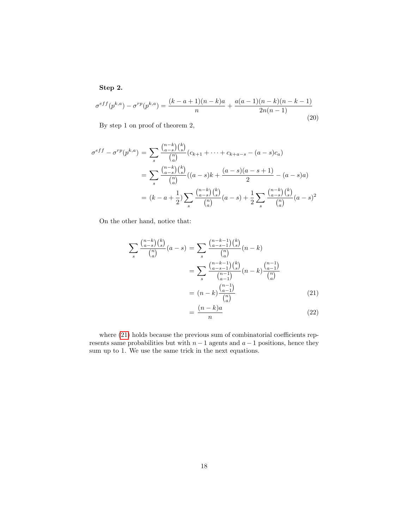Step 2.

<span id="page-17-1"></span>
$$
\sigma^{eff}(p^{k,a}) - \sigma^{rp}(p^{k,a}) = \frac{(k-a+1)(n-k)a}{n} + \frac{a(a-1)(n-k)(n-k-1)}{2n(n-1)}
$$
\n(20)

By step 1 on proof of theorem 2,

$$
\sigma^{eff} - \sigma^{rp}(p^{k,a}) = \sum_{s} \frac{\binom{n-k}{a-s} \binom{k}{s}}{\binom{n}{a}} (c_{k+1} + \dots + c_{k+a-s} - (a-s)c_a)
$$
  
= 
$$
\sum_{s} \frac{\binom{n-k}{a-s} \binom{k}{s}}{\binom{n}{a}} ((a-s)k + \frac{(a-s)(a-s+1)}{2} - (a-s)a)
$$
  
= 
$$
(k-a+\frac{1}{2}) \sum_{s} \frac{\binom{n-k}{a-s} \binom{k}{s}}{\binom{n}{a}} (a-s) + \frac{1}{2} \sum_{s} \frac{\binom{n-k}{a-s} \binom{k}{s}}{\binom{n}{a}} (a-s)^2
$$

On the other hand, notice that:

<span id="page-17-0"></span>
$$
\sum_{s} \frac{\binom{n-k}{a-s} \binom{k}{s}}{\binom{n}{a}} (a-s) = \sum_{s} \frac{\binom{n-k-1}{a-s-1} \binom{k}{s}}{\binom{n}{a}} (n-k)
$$

$$
= \sum_{s} \frac{\binom{n-k-1}{a-s-1} \binom{k}{s}}{\binom{n-1}{a-1}} (n-k) \frac{\binom{n-1}{a-1}}{\binom{n}{a}}
$$

$$
= (n-k) \frac{\binom{n-1}{a-1}}{\binom{n}{a}}
$$
(21)
$$
= \frac{(n-k)a}{a}
$$

where  $(21)$  holds because the previous sum of combinatorial coefficients represents same probabilities but with  $n-1$  agents and  $a-1$  positions, hence they sum up to 1. We use the same trick in the next equations.

 $\boldsymbol{n}$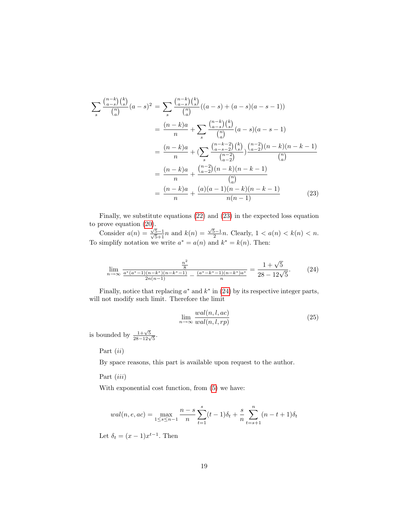<span id="page-18-0"></span>
$$
\sum_{s} \frac{\binom{n-k}{a-s}\binom{k}{s}}{\binom{n}{a}}(a-s)^2 = \sum_{s} \frac{\binom{n-k}{a-s}\binom{k}{s}}{\binom{n}{a}}((a-s)+(a-s)(a-s-1))
$$

$$
= \frac{(n-k)a}{n} + \sum_{s} \frac{\binom{n-k}{a-s}\binom{k}{s}}{\binom{n}{a}}(a-s)(a-s-1)
$$

$$
= \frac{(n-k)a}{n} + \left(\sum_{s} \frac{\binom{n-k-2}{a-s-2}\binom{k}{s}}{\binom{n-2}{a-2}}\frac{\binom{n-2}{a-2}\binom{n-k}{n-k-1}}{\binom{n}{a}}\right)
$$

$$
= \frac{(n-k)a}{n} + \frac{\binom{n-2}{a-2}\binom{n-k}{n-k-1}}{\binom{n}{a}}
$$

$$
= \frac{(n-k)a}{n} + \frac{(a)(a-1)(n-k)(n-k-1)}{n(n-1)}
$$
(23)

Finally, we substitute equations [\(22\)](#page-17-0) and [\(23\)](#page-18-0) in the expected loss equation to prove equation [\(20\)](#page-17-1).

Consider  $a(n) = \frac{\sqrt{2}}{n}$  $\frac{\sqrt{5}-1}{\sqrt{5}+1}n$  and  $k(n) = \frac{\sqrt{5}-1}{2}n$ . Clearly,  $1 < a(n) < k(n) < n$ . To simplify notation we write  $a^* = a(n)$  and  $k^* = k(n)$ . Then:

<span id="page-18-1"></span>
$$
\lim_{n \to \infty} \frac{\frac{n^2}{8}}{\frac{a^*(a^*-1)(n-k^*)(n-k^*-1)}{2n(n-1)} - \frac{(a^*-k^*-1)(n-k^*)a^*}{n}} = \frac{1+\sqrt{5}}{28-12\sqrt{5}}.\tag{24}
$$

Finally, notice that replacing  $a^*$  and  $k^*$  in [\(24\)](#page-18-1) by its respective integer parts, will not modify such limit. Therefore the limit

$$
\lim_{n \to \infty} \frac{wal(n, l, ac)}{wal(n, l, rp)}
$$
\n(25)

is bounded by  $\frac{1+\sqrt{5}}{28-12\sqrt{5}}$ .

## Part  $(ii)$

By space reasons, this part is available upon request to the author.

Part *(iii)* 

With exponential cost function, from [\(5\)](#page-11-0) we have:

$$
wal(n, e, ac) = \max_{1 \le s \le n-1} \frac{n-s}{n} \sum_{t=1}^{s} (t-1)\delta_t + \frac{s}{n} \sum_{t=s+1}^{n} (n-t+1)\delta_t
$$

Let  $\delta_t = (x-1)x^{t-1}$ . Then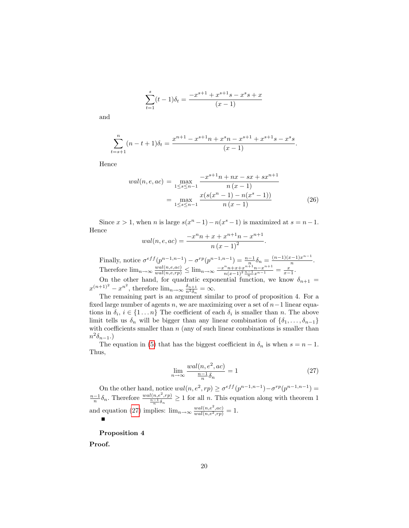$$
\sum_{t=1}^{s} (t-1)\delta_t = \frac{-x^{s+1} + x^{s+1}s - x^s s + x}{(x-1)}
$$

and

$$
\sum_{t=s+1}^{n} (n-t+1)\delta_t = \frac{x^{n+1} - x^{s+1}n + x^s n - x^{s+1} + x^{s+1} s - x^s s}{(x-1)}.
$$

Hence

$$
wal(n, e, ac) = \max_{1 \le s \le n-1} \frac{-x^{s+1}n + nx - sx + sx^{n+1}}{n (x - 1)}
$$

$$
= \max_{1 \le s \le n-1} \frac{x(s(x^n - 1) - n(x^s - 1))}{n (x - 1)}
$$
(26)

Since  $x > 1$ , when n is large  $s(x^n - 1) - n(x^s - 1)$  is maximized at  $s = n - 1$ . Hence

$$
wal(n, e, ac) = \frac{-x^n n + x + x^{n+1} n - x^{n+1}}{n (x - 1)^2}
$$

Finally, notice  $\sigma^{eff}(p^{n-1,n-1}) - \sigma^{rp}(p^{n-1,n-1}) = \frac{n-1}{n} \delta_n = \frac{(n-1)(x-1)x^{n-1}}{n}$  $\frac{n^{(n-1)x}}{n}$ . Therefore  $\lim_{n\to\infty} \frac{wal(n,e,ac)}{wal(n,e,rp)} \leq \lim_{n\to\infty} \frac{-x^n n+x+x^{n+1}n-x^{n+1}}{n(x-1)^2 \frac{n-1}{n-x}}$  $\frac{n_{n+x+x^{n+1}n-x^{n+1}}}{n(x-1)^2\frac{n-1}{n}x^{n-1}}=\frac{x}{x-1}.$ 

On the other hand, for quadratic exponential function, we know  $\delta_{n+1}$  $x^{(n+1)^2} - x^{n^2}$ , therefore  $\lim_{n \to \infty} \frac{\delta_{n+1}}{n^2 \delta_n} = \infty$ .

The remaining part is an argument similar to proof of proposition 4. For a fixed large number of agents n, we are maximizing over a set of  $n-1$  linear equations in  $\delta_i$ ,  $i \in \{1 \dots n\}$  The coefficient of each  $\delta_i$  is smaller than n. The above limit tells us  $\delta_n$  will be bigger than any linear combination of  $\{\delta_1, \ldots, \delta_{n-1}\}$ with coefficients smaller than  $n$  (any of such linear combinations is smaller than  $n^2\delta_{n-1}$ .)

The equation in [\(5\)](#page-11-0) that has the biggest coefficient in  $\delta_n$  is when  $s = n - 1$ . Thus,

<span id="page-19-0"></span>
$$
\lim_{n \to \infty} \frac{wal(n, e^2, ac)}{\frac{n-1}{n} \delta_n} = 1
$$
\n(27)

.

On the other hand, notice  $wal(n, e^2, rp) \geq \sigma^{eff}(p^{n-1,n-1}) - \sigma^{rp}(p^{n-1,n-1}) =$  $\frac{n-1}{n}\delta_n$ . Therefore  $\frac{wal(n,e^2,rp)}{\frac{n-1}{n}\delta_n}$  ≥ 1 for all *n*. This equation along with theorem 1 and equation [\(27\)](#page-19-0) implies:  $\lim_{n\to\infty} \frac{wal(n,e^2,ac)}{wal(n,e^2,rp)} = 1.$  $\blacksquare$ 

Proposition 4

Proof.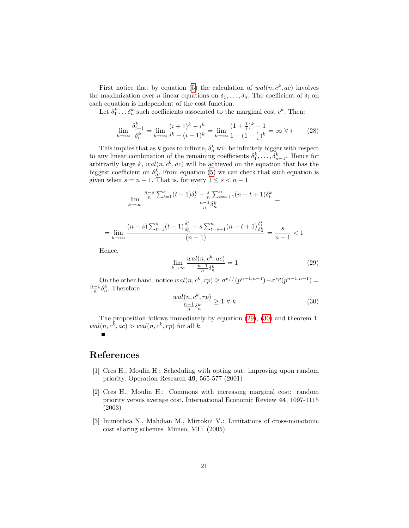First notice that by equation [\(5\)](#page-11-0) the calculation of  $wal(n, c^k, ac)$  involves the maximization over n linear equations on  $\delta_1, \ldots, \delta_n$ . The coefficient of  $\delta_i$  on each equation is independent of the cost function.

Let  $\delta_1^k \dots \delta_n^k$  such coefficients associated to the marginal cost  $c^k$ . Then:

$$
\lim_{k \to \infty} \frac{\delta_{i+1}^k}{\delta_i^k} = \lim_{k \to \infty} \frac{(i+1)^k - i^k}{i^k - (i-1)^k} = \lim_{k \to \infty} \frac{(1 + \frac{1}{i})^k - 1}{1 - (1 - \frac{1}{i})^k} = \infty \ \forall \ i \tag{28}
$$

This implies that as k goes to infinite,  $\delta_n^k$  will be infinitely bigger with respect to any linear combination of the remaining coefficients  $\delta_1^k, \ldots, \delta_{n-1}^k$ . Hence for arbitrarily large k,  $wal(n, c^k, ac)$  will be achieved on the equation that has the biggest coefficient on  $\delta_n^k$ . From equation [\(5\)](#page-11-0) we can check that such equation is given when  $s = n - 1$ . That is, for every  $1 \leq s < n - 1$ 

$$
\lim_{k \to \infty} \frac{\frac{n-s}{n} \sum_{t=1}^s (t-1) \delta_t^k + \frac{s}{n} \sum_{t=s+1}^n (n-t+1) \delta_t^k}{\frac{n-1}{n} \delta_n^k} =
$$

$$
= \lim_{k \to \infty} \frac{(n-s) \sum_{t=1}^s (t-1) \frac{\delta_t^k}{\delta_n^k} + s \sum_{t=s+1}^n (n-t+1) \frac{\delta_t^k}{\delta_n^k}}{(n-1)} = \frac{s}{n-1} < 1
$$

Hence,

<span id="page-20-3"></span>
$$
\lim_{k \to \infty} \frac{wal(n, c^k, ac)}{\frac{n-1}{n} \delta_n^k} = 1
$$
\n(29)

On the other hand, notice  $wal(n, c^k, rp) \geq \sigma^{eff}(p^{n-1,n-1}) - \sigma^{rp}(p^{n-1,n-1}) =$  $\frac{n-1}{n} \delta_n^k$ . Therefore

<span id="page-20-4"></span>
$$
\frac{wal(n, c^k, rp)}{\frac{n-1}{n}\delta_n^k} \ge 1 \ \forall \ k \tag{30}
$$

The proposition follows immediately by equation [\(29\)](#page-20-3), [\(30\)](#page-20-4) and theorem 1:  $wal(n, c^k, ac) > wal(n, c^k, rp)$  for all k.  $\blacksquare$ 

# References

- <span id="page-20-0"></span>[1] Cres H., Moulin H.: Scheduling with opting out: improving upon random priority. Operation Research 49, 565-577 (2001)
- <span id="page-20-1"></span>[2] Cres H., Moulin H.: Commons with increasing marginal cost: random priority versus average cost. International Economic Review 44, 1097-1115 (2003)
- <span id="page-20-2"></span>[3] Immorlica N., Mahdian M., Mirrokni V.: Limitations of cross-monotonic cost sharing schemes. Mimeo, MIT (2005)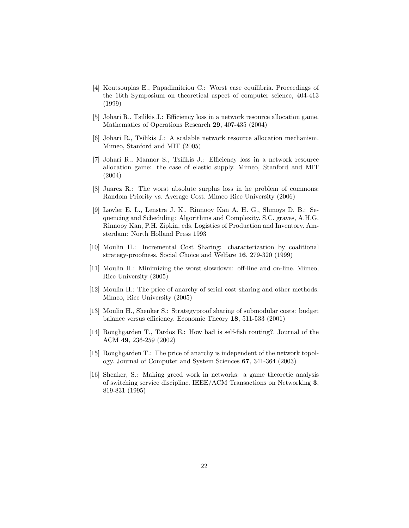- <span id="page-21-3"></span>[4] Koutsoupias E., Papadimitriou C.: Worst case equilibria. Proceedings of the 16th Symposium on theoretical aspect of computer science, 404-413 (1999)
- <span id="page-21-7"></span>[5] Johari R., Tsilikis J.: Efficiency loss in a network resource allocation game. Mathematics of Operations Research 29, 407-435 (2004)
- [6] Johari R., Tsilikis J.: A scalable network resource allocation mechanism. Mimeo, Stanford and MIT (2005)
- <span id="page-21-8"></span>[7] Johari R., Mannor S., Tsilikis J.: Efficiency loss in a network resource allocation game: the case of elastic supply. Mimeo, Stanford and MIT (2004)
- [8] Juarez R.: The worst absolute surplus loss in he problem of commons: Random Priority vs. Average Cost. Mimeo Rice University (2006)
- <span id="page-21-0"></span>[9] Lawler E. L., Lenstra J. K., Rinnooy Kan A. H. G., Shmoys D. B.: Sequencing and Scheduling: Algorithms and Complexity. S.C. graves, A.H.G. Rinnooy Kan, P.H. Zipkin, eds. Logistics of Production and Inventory. Amsterdam: North Holland Press 1993
- <span id="page-21-9"></span>[10] Moulin H.: Incremental Cost Sharing: characterization by coalitional strategy-proofness. Social Choice and Welfare 16, 279-320 (1999)
- <span id="page-21-1"></span>[11] Moulin H.: Minimizing the worst slowdown: off-line and on-line. Mimeo, Rice University (2005)
- <span id="page-21-4"></span>[12] Moulin H.: The price of anarchy of serial cost sharing and other methods. Mimeo, Rice University (2005)
- <span id="page-21-10"></span>[13] Moulin H., Shenker S.: Strategyproof sharing of submodular costs: budget balance versus efficiency. Economic Theory 18, 511-533 (2001)
- <span id="page-21-5"></span>[14] Roughgarden T., Tardos E.: How bad is self-fish routing?. Journal of the ACM 49, 236-259 (2002)
- <span id="page-21-6"></span>[15] Roughgarden T.: The price of anarchy is independent of the network topology. Journal of Computer and System Sciences 67, 341-364 (2003)
- <span id="page-21-2"></span>[16] Shenker, S.: Making greed work in networks: a game theoretic analysis of switching service discipline. IEEE/ACM Transactions on Networking 3, 819-831 (1995)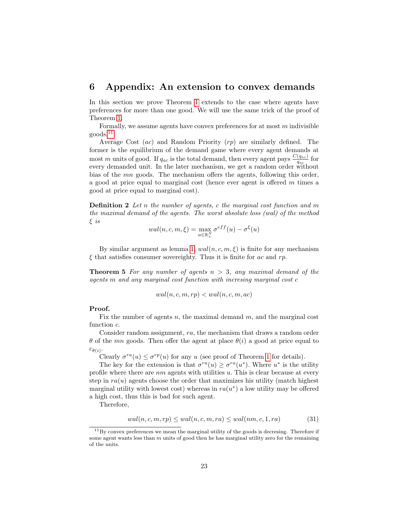# 6 Appendix: An extension to convex demands

In this section we prove Theorem [1](#page-7-0) extends to the case where agents have preferences for more than one good. We will use the same trick of the proof of Theorem [1.](#page-7-0)

Formally, we assume agents have convex preferences for at most  $m$  indivisible  $\text{goods}.^{11}$  $\text{goods}.^{11}$  $\text{goods}.^{11}$ 

Average Cost  $(ac)$  and Random Priority  $(rp)$  are similarly defined. The former is the equilibrium of the demand game where every agent demands at most m units of good. If  $q_{ac}$  is the total demand, then every agent pays  $\frac{C(q_{ac})}{q_{ac}}$  for every demanded unit. In the later mechanism, we get a random order without bias of the mn goods. The mechanism offers the agents, following this order, a good at price equal to marginal cost (hence ever agent is offered m times a good at price equal to marginal cost).

**Definition 2** Let n the number of agents, c the marginal cost function and m the maximal demand of the agents. The worst absolute loss (wal) of the method ξ is

$$
wal(n,c,m,\xi) = \max_{u \in \mathbb{R}^N_+} \sigma^{eff}(u) - \sigma^{\xi}(u)
$$

By similar argument as lemma [1,](#page-5-0)  $wal(n, c, m, \xi)$  is finite for any mechanism  $\xi$  that satisfies consumer sovereighty. Thus it is finite for ac and rp.

**Theorem 5** For any number of agents  $n > 3$ , any maximal demand of the agents m and any marginal cost function with incresing marginal cost c

$$
wal(n, c, m, rp) < wall(n, c, m, ac)
$$

### Proof.

Fix the number of agents n, the maximal demand  $m$ , and the marginal cost function c.

Consider random assignment, ra, the mechanism that draws a random order θ of the mn goods. Then offer the agent at place  $θ(i)$  a good at price equal to  $c_{\theta(i)}$ .

Clearly  $\sigma^{ra}(u) \leq \sigma^{rp}(u)$  for any u (see proof of Theorem [1](#page-7-0) for details).

The key for the extension is that  $\sigma^{ra}(u) \geq \sigma^{ra}(u^*)$ . Where  $u^*$  is the utility profile where there are  $nm$  agents with utilities u. This is clear because at every step in  $ra(u)$  agents choose the order that maximizes his utility (match highest marginal utility with lowest cost) whereas in  $ra(u^*)$  a low utility may be offered a high cost, thus this is bad for such agent.

Therefore,

<span id="page-22-1"></span>
$$
wal(n, c, m, rp) \leq wal(n, c, m, ra) \leq wal(nm, c, 1, ra)
$$
\n(31)

<span id="page-22-0"></span> $11\,\text{By convex preferences we mean the marginal utility of the goods is decreasing. Therefore if}$ some agent wants less than  $m$  units of good then he has marginal utility zero for the remaining of the units.